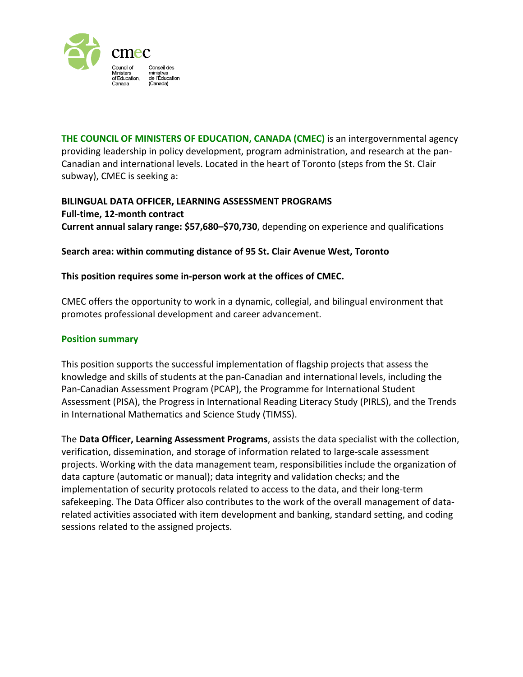

**THE COUNCIL OF MINISTERS OF EDUCATION, CANADA (CMEC)** is an intergovernmental agency providing leadership in policy development, program administration, and research at the pan-Canadian and international levels. Located in the heart of Toronto (steps from the St. Clair subway), CMEC is seeking a:

# **BILINGUAL DATA OFFICER, LEARNING ASSESSMENT PROGRAMS Full-time, 12-month contract Current annual salary range: \$57,680–\$70,730**, depending on experience and qualifications

### **Search area: within commuting distance of 95 St. Clair Avenue West, Toronto**

### **This position requires some in-person work at the offices of CMEC.**

CMEC offers the opportunity to work in a dynamic, collegial, and bilingual environment that promotes professional development and career advancement.

#### **Position summary**

This position supports the successful implementation of flagship projects that assess the knowledge and skills of students at the pan-Canadian and international levels, including the Pan-Canadian Assessment Program (PCAP), the Programme for International Student Assessment (PISA), the Progress in International Reading Literacy Study (PIRLS), and the Trends in International Mathematics and Science Study (TIMSS).

The **Data Officer, Learning Assessment Programs**, assists the data specialist with the collection, verification, dissemination, and storage of information related to large-scale assessment projects. Working with the data management team, responsibilities include the organization of data capture (automatic or manual); data integrity and validation checks; and the implementation of security protocols related to access to the data, and their long-term safekeeping. The Data Officer also contributes to the work of the overall management of datarelated activities associated with item development and banking, standard setting, and coding sessions related to the assigned projects.